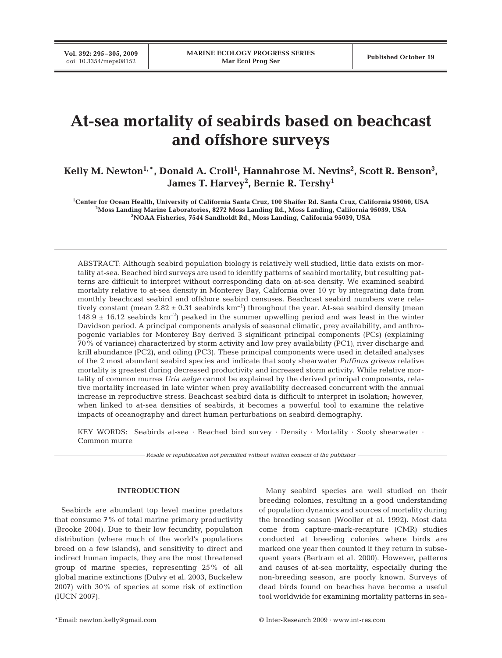**Vol. 392: 295–305, 2009**

# **At-sea mortality of seabirds based on beachcast and offshore surveys**

Kelly M. Newton<sup>1,</sup>\*, Donald A. Croll<sup>1</sup>, Hannahrose M. Nevins<sup>2</sup>, Scott R. Benson<sup>3</sup>, **James T. Harvey2 , Bernie R. Tershy1**

**1 Center for Ocean Health, University of California Santa Cruz, 100 Shaffer Rd. Santa Cruz, California 95060, USA 2 Moss Landing Marine Laboratories, 8272 Moss Landing Rd., Moss Landing, California 95039, USA 3 NOAA Fisheries, 7544 Sandholdt Rd., Moss Landing, California 95039, USA**

ABSTRACT: Although seabird population biology is relatively well studied, little data exists on mortality at-sea. Beached bird surveys are used to identify patterns of seabird mortality, but resulting patterns are difficult to interpret without corresponding data on at-sea density. We examined seabird mortality relative to at-sea density in Monterey Bay, California over 10 yr by integrating data from monthly beachcast seabird and offshore seabird censuses. Beachcast seabird numbers were relatively constant (mean  $2.82 \pm 0.31$  seabirds km<sup>-1</sup>) throughout the year. At-sea seabird density (mean  $148.9 \pm 16.12$  seabirds km<sup>-2</sup>) peaked in the summer upwelling period and was least in the winter Davidson period. A principal components analysis of seasonal climatic, prey availability, and anthropogenic variables for Monterey Bay derived 3 significant principal components (PCs) (explaining 70% of variance) characterized by storm activity and low prey availability (PC1), river discharge and krill abundance (PC2), and oiling (PC3). These principal components were used in detailed analyses of the 2 most abundant seabird species and indicate that sooty shearwater *Puffinus griseus* relative mortality is greatest during decreased productivity and increased storm activity. While relative mortality of common murres *Uria aalge* cannot be explained by the derived principal components, relative mortality increased in late winter when prey availability decreased concurrent with the annual increase in reproductive stress. Beachcast seabird data is difficult to interpret in isolation; however, when linked to at-sea densities of seabirds, it becomes a powerful tool to examine the relative impacts of oceanography and direct human perturbations on seabird demography.

KEY WORDS: Seabirds at-sea · Beached bird survey · Density · Mortality · Sooty shearwater · Common murre

*Resale or republication not permitted without written consent of the publisher*

# **INTRODUCTION**

Seabirds are abundant top level marine predators that consume 7% of total marine primary productivity (Brooke 2004). Due to their low fecundity, population distribution (where much of the world's populations breed on a few islands), and sensitivity to direct and indirect human impacts, they are the most threatened group of marine species, representing 25% of all global marine extinctions (Dulvy et al. 2003, Buckelew 2007) with 30% of species at some risk of extinction (IUCN 2007).

Many seabird species are well studied on their breeding colonies, resulting in a good understanding of population dynamics and sources of mortality during the breeding season (Wooller et al. 1992). Most data come from capture-mark-recapture (CMR) studies conducted at breeding colonies where birds are marked one year then counted if they return in subsequent years (Bertram et al. 2000). However, patterns and causes of at-sea mortality, especially during the non-breeding season, are poorly known. Surveys of dead birds found on beaches have become a useful tool worldwide for examining mortality patterns in sea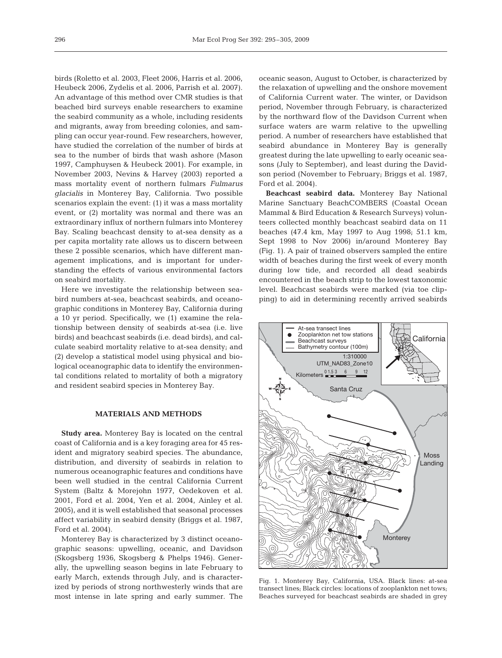birds (Roletto et al. 2003, Fleet 2006, Harris et al. 2006, Heubeck 2006, Zydelis et al. 2006, Parrish et al. 2007). An advantage of this method over CMR studies is that beached bird surveys enable researchers to examine the seabird community as a whole, including residents and migrants, away from breeding colonies, and sampling can occur year-round. Few researchers, however, have studied the correlation of the number of birds at sea to the number of birds that wash ashore (Mason 1997, Camphuysen & Heubeck 2001). For example, in November 2003, Nevins & Harvey (2003) reported a mass mortality event of northern fulmars *Fulmarus glacialis* in Monterey Bay, California. Two possible scenarios explain the event: (1) it was a mass mortality event, or (2) mortality was normal and there was an extraordinary influx of northern fulmars into Monterey Bay. Scaling beachcast density to at-sea density as a per capita mortality rate allows us to discern between these 2 possible scenarios, which have different management implications, and is important for understanding the effects of various environmental factors on seabird mortality.

Here we investigate the relationship between seabird numbers at-sea, beachcast seabirds, and oceanographic conditions in Monterey Bay, California during a 10 yr period. Specifically, we (1) examine the relationship between density of seabirds at-sea (i.e. live birds) and beachcast seabirds (i.e. dead birds), and calculate seabird mortality relative to at-sea density; and (2) develop a statistical model using physical and biological oceanographic data to identify the environmental conditions related to mortality of both a migratory and resident seabird species in Monterey Bay.

## **MATERIALS AND METHODS**

**Study area.** Monterey Bay is located on the central coast of California and is a key foraging area for 45 resident and migratory seabird species. The abundance, distribution, and diversity of seabirds in relation to numerous oceanographic features and conditions have been well studied in the central California Current System (Baltz & Morejohn 1977, Oedekoven et al. 2001, Ford et al. 2004, Yen et al. 2004, Ainley et al. 2005), and it is well established that seasonal processes affect variability in seabird density (Briggs et al. 1987, Ford et al. 2004).

Monterey Bay is characterized by 3 distinct oceanographic seasons: upwelling, oceanic, and Davidson (Skogsberg 1936, Skogsberg & Phelps 1946). Generally, the upwelling season begins in late February to early March, extends through July, and is characterized by periods of strong northwesterly winds that are most intense in late spring and early summer. The

oceanic season, August to October, is characterized by the relaxation of upwelling and the onshore movement of California Current water. The winter, or Davidson period, November through February, is characterized by the northward flow of the Davidson Current when surface waters are warm relative to the upwelling period. A number of researchers have established that seabird abundance in Monterey Bay is generally greatest during the late upwelling to early oceanic seasons (July to September), and least during the Davidson period (November to February; Briggs et al. 1987, Ford et al. 2004).

**Beachcast seabird data.** Monterey Bay National Marine Sanctuary BeachCOMBERS (Coastal Ocean Mammal & Bird Education & Research Surveys) volunteers collected monthly beachcast seabird data on 11 beaches (47.4 km, May 1997 to Aug 1998; 51.1 km, Sept 1998 to Nov 2006) in/around Monterey Bay (Fig. 1). A pair of trained observers sampled the entire width of beaches during the first week of every month during low tide, and recorded all dead seabirds encountered in the beach strip to the lowest taxonomic level. Beachcast seabirds were marked (via toe clipping) to aid in determining recently arrived seabirds



Fig. 1. Monterey Bay, California, USA. Black lines: at-sea transect lines; Black circles: locations of zooplankton net tows; Beaches surveyed for beachcast seabirds are shaded in grey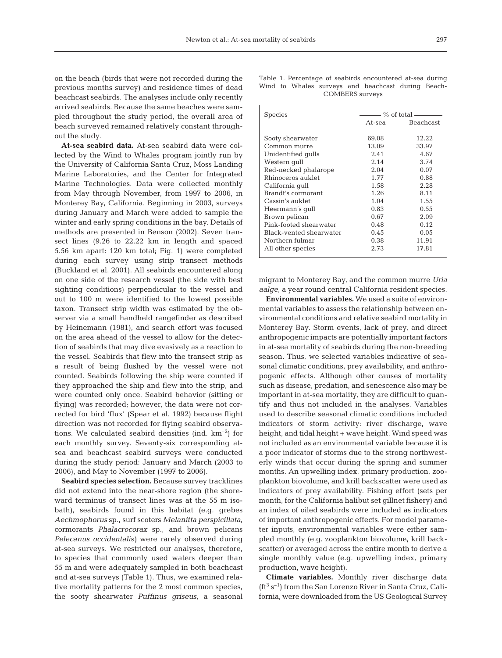on the beach (birds that were not recorded during the previous months survey) and residence times of dead beachcast seabirds. The analyses include only recently arrived seabirds. Because the same beaches were sampled throughout the study period, the overall area of beach surveyed remained relatively constant throughout the study.

**At-sea seabird data.** At-sea seabird data were collected by the Wind to Whales program jointly run by the University of California Santa Cruz, Moss Landing Marine Laboratories, and the Center for Integrated Marine Technologies. Data were collected monthly from May through November, from 1997 to 2006, in Monterey Bay, California. Beginning in 2003, surveys during January and March were added to sample the winter and early spring conditions in the bay. Details of methods are presented in Benson (2002). Seven transect lines (9.26 to 22.22 km in length and spaced 5.56 km apart: 120 km total; Fig. 1) were completed during each survey using strip transect methods (Buckland et al. 2001). All seabirds encountered along on one side of the research vessel (the side with best sighting conditions) perpendicular to the vessel and out to 100 m were identified to the lowest possible taxon. Transect strip width was estimated by the observer via a small handheld rangefinder as described by Heinemann (1981), and search effort was focused on the area ahead of the vessel to allow for the detection of seabirds that may dive evasively as a reaction to the vessel. Seabirds that flew into the transect strip as a result of being flushed by the vessel were not counted. Seabirds following the ship were counted if they approached the ship and flew into the strip, and were counted only once. Seabird behavior (sitting or flying) was recorded; however, the data were not corrected for bird 'flux' (Spear et al. 1992) because flight direction was not recorded for flying seabird observations. We calculated seabird densities (ind.  $km^{-2}$ ) for each monthly survey. Seventy-six corresponding atsea and beachcast seabird surveys were conducted during the study period: January and March (2003 to 2006), and May to November (1997 to 2006).

**Seabird species selection.** Because survey tracklines did not extend into the near-shore region (the shoreward terminus of transect lines was at the 55 m isobath), seabirds found in this habitat (e.g. grebes *Aechmophorus* sp., surf scoters *Melanitta perspicillata*, cormorants *Phalacrocorax* sp., and brown pelicans *Pelecanus occidentalis)* were rarely observed during at-sea surveys. We restricted our analyses, therefore, to species that commonly used waters deeper than 55 m and were adequately sampled in both beachcast and at-sea surveys (Table 1). Thus, we examined relative mortality patterns for the 2 most common species, the sooty shearwater *Puffinus griseus*, a seasonal

|  |                        | Table 1. Percentage of seabirds encountered at-sea during |  |
|--|------------------------|-----------------------------------------------------------|--|
|  |                        | Wind to Whales surveys and beachcast during Beach-        |  |
|  | <b>COMBERS</b> surveys |                                                           |  |

| Species                 | $-$ % of total |                  |  |  |
|-------------------------|----------------|------------------|--|--|
|                         | At-sea         | <b>Beachcast</b> |  |  |
| Sooty shearwater        | 69.08          | 12.22            |  |  |
| Common murre            | 13.09          | 33.97            |  |  |
| Unidentified qulls      | 2.41           | 4.67             |  |  |
| Western qull            | 2.14           | 3.74             |  |  |
| Red-necked phalarope    | 2.04           | 0.07             |  |  |
| Rhinoceros auklet       | 1.77           | 0.88             |  |  |
| California qull         | 1.58           | 2.28             |  |  |
| Brandt's cormorant      | 1.26           | 8.11             |  |  |
| Cassin's auklet         | 1.04           | 1.55             |  |  |
| Heermann's qull         | 0.83           | 0.55             |  |  |
| Brown pelican           | 0.67           | 2.09             |  |  |
| Pink-footed shearwater  | 0.48           | 0.12             |  |  |
| Black-vented shearwater | 0.45           | 0.05             |  |  |
| Northern fulmar         | 0.38           | 11.91            |  |  |
| All other species       | 2.73           | 17.81            |  |  |

migrant to Monterey Bay, and the common murre *Uria aalge*, a year round central California resident species.

**Environmental variables.** We used a suite of environmental variables to assess the relationship between environmental conditions and relative seabird mortality in Monterey Bay. Storm events, lack of prey, and direct anthropogenic impacts are potentially important factors in at-sea mortality of seabirds during the non-breeding season. Thus, we selected variables indicative of seasonal climatic conditions, prey availability, and anthropogenic effects. Although other causes of mortality such as disease, predation, and senescence also may be important in at-sea mortality, they are difficult to quantify and thus not included in the analyses. Variables used to describe seasonal climatic conditions included indicators of storm activity: river discharge, wave height, and tidal height + wave height. Wind speed was not included as an environmental variable because it is a poor indicator of storms due to the strong northwesterly winds that occur during the spring and summer months. An upwelling index, primary production, zooplankton biovolume, and krill backscatter were used as indicators of prey availability. Fishing effort (sets per month, for the California halibut set gillnet fishery) and an index of oiled seabirds were included as indicators of important anthropogenic effects. For model parameter inputs, environmental variables were either sampled monthly (e.g. zooplankton biovolume, krill backscatter) or averaged across the entire month to derive a single monthly value (e.g. upwelling index, primary production, wave height).

**Climate variables.** Monthly river discharge data  $(tf<sup>3</sup> s<sup>-1</sup>)$  from the San Lorenzo River in Santa Cruz, California, were downloaded from the US Geological Survey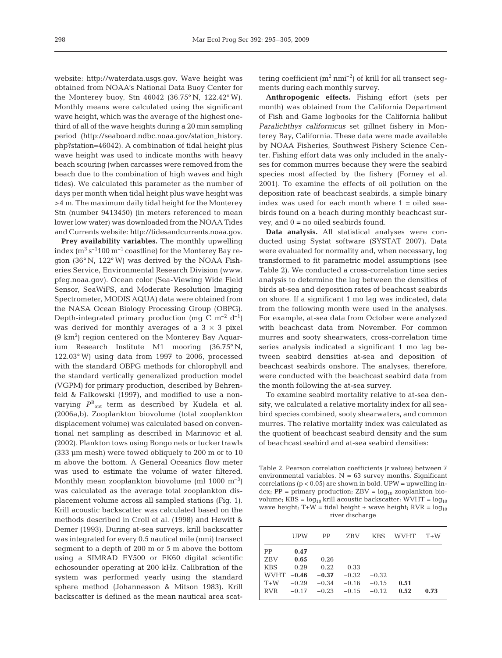website: http://waterdata.usgs.gov. Wave height was obtained from NOAA's National Data Buoy Center for the Monterey buoy, Stn 46042 (36.75° N, 122.42° W). Monthly means were calculated using the significant wave height, which was the average of the highest onethird of all of the wave heights during a 20 min sampling period (http://seaboard.ndbc.noaa.gov/station\_history. php?station=46042). A combination of tidal height plus wave height was used to indicate months with heavy beach scouring (when carcasses were removed from the beach due to the combination of high waves and high tides). We calculated this parameter as the number of days per month when tidal height plus wave height was >4 m. The maximum daily tidal height for the Monterey Stn (number 9413450) (in meters referenced to mean lower low water) was downloaded from the NOAA Tides and Currents website: http://tidesandcurrents.noaa.gov.

**Prey availability variables.** The monthly upwelling index  $(m^3 s^{-1} 100 m^{-1}$  coastline) for the Monterey Bay region (36° N, 122° W) was derived by the NOAA Fisheries Service, Environmental Research Division (www. pfeg.noaa.gov). Ocean color (Sea-Viewing Wide Field Sensor, SeaWiFS, and Moderate Resolution Imaging Spectrometer, MODIS AQUA) data were obtained from the NASA Ocean Biology Processing Group (OBPG). Depth-integrated primary production (mg C  $m^{-2}$  d<sup>-1</sup>) was derived for monthly averages of a  $3 \times 3$  pixel  $(9 \text{ km}^2)$  region centered on the Monterey Bay Aquarium Research Institute M1 mooring (36.75° N, 122.03° W) using data from 1997 to 2006, processed with the standard OBPG methods for chlorophyll and the standard vertically generalized production model (VGPM) for primary production, described by Behrenfeld & Falkowski (1997), and modified to use a nonvarying *P*<sup>B</sup> opt term as described by Kudela et al. (2006a,b). Zooplankton biovolume (total zooplankton displacement volume) was calculated based on conventional net sampling as described in Marinovic et al. (2002). Plankton tows using Bongo nets or tucker trawls (333 µm mesh) were towed obliquely to 200 m or to 10 m above the bottom. A General Oceanics flow meter was used to estimate the volume of water filtered. Monthly mean zooplankton biovolume (ml  $1000 \text{ m}^{-3}$ ) was calculated as the average total zooplankton displacement volume across all sampled stations (Fig. 1). Krill acoustic backscatter was calculated based on the methods described in Croll et al. (1998) and Hewitt & Demer (1993). During at-sea surveys, krill backscatter was integrated for every 0.5 nautical mile (nmi) transect segment to a depth of 200 m or 5 m above the bottom using a SIMRAD EY500 or EK60 digital scientific echosounder operating at 200 kHz. Calibration of the system was performed yearly using the standard sphere method (Johannesson & Mitson 1983). Krill backscatter is defined as the mean nautical area scattering coefficient  $(m^2 \text{ n} \text{m} \text{i}^{-2})$  of krill for all transect segments during each monthly survey.

**Anthropogenic effects.** Fishing effort (sets per month) was obtained from the California Department of Fish and Game logbooks for the California halibut *Paralichthys californicus* set gillnet fishery in Monterey Bay, California. These data were made available by NOAA Fisheries, Southwest Fishery Science Center. Fishing effort data was only included in the analyses for common murres because they were the seabird species most affected by the fishery (Forney et al. 2001). To examine the effects of oil pollution on the deposition rate of beachcast seabirds, a simple binary index was used for each month where 1 = oiled seabirds found on a beach during monthly beachcast survey, and 0 = no oiled seabirds found.

**Data analysis.** All statistical analyses were conducted using Systat software (SYSTAT 2007). Data were evaluated for normality and, when necessary, log transformed to fit parametric model assumptions (see Table 2). We conducted a cross-correlation time series analysis to determine the lag between the densities of birds at-sea and deposition rates of beachcast seabirds on shore. If a significant 1 mo lag was indicated, data from the following month were used in the analyses. For example, at-sea data from October were analyzed with beachcast data from November. For common murres and sooty shearwaters, cross-correlation time series analysis indicated a significant 1 mo lag between seabird densities at-sea and deposition of beachcast seabirds onshore. The analyses, therefore, were conducted with the beachcast seabird data from the month following the at-sea survey.

To examine seabird mortality relative to at-sea density, we calculated a relative mortality index for all seabird species combined, sooty shearwaters, and common murres. The relative mortality index was calculated as the quotient of beachcast seabird density and the sum of beachcast seabird and at-sea seabird densities:

Table 2. Pearson correlation coefficients (r values) between 7 environmental variables.  $N = 63$  survey months. Significant correlations  $(p < 0.05)$  are shown in bold. UPW = upwelling index;  $PP = primary$  production;  $ZBV = log_{10} zooplankton$  biovolume; KBS =  $log_{10}$  krill acoustic backscatter; WVHT =  $log_{10}$ wave height;  $T+W =$  tidal height + wave height;  $RVR = log_{10}$ river discharge

|              | UPW     | PP      | <b>ZBV</b> | <b>KBS</b> | WVHT | $T+W$ |
|--------------|---------|---------|------------|------------|------|-------|
| PP           | 0.47    |         |            |            |      |       |
| <b>ZBV</b>   | 0.65    | 0.26    |            |            |      |       |
| <b>KBS</b>   | 0.29    | 0.22    | 0.33       |            |      |       |
| WVHT $-0.46$ |         | $-0.37$ | $-0.32$    | $-0.32$    |      |       |
| $T+W$        | $-0.29$ | $-0.34$ | $-0.16$    | $-0.15$    | 0.51 |       |
| <b>RVR</b>   | $-0.17$ | $-0.23$ | $-0.15$    | $-0.12$    | 0.52 | 0.73  |
|              |         |         |            |            |      |       |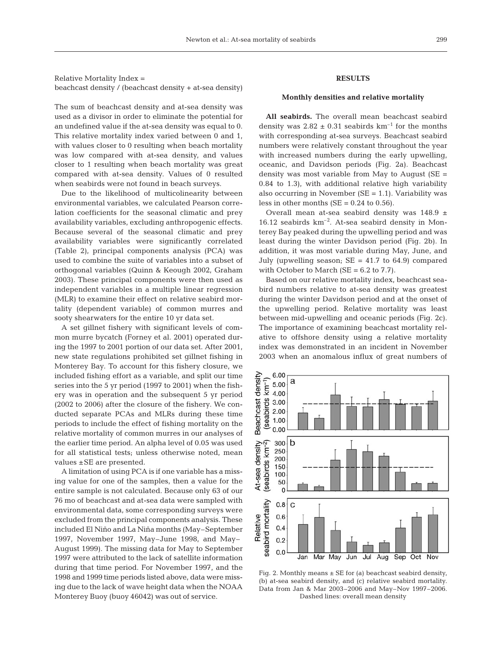Relative Mortality Index = beachcast density / (beachcast density + at-sea density)

The sum of beachcast density and at-sea density was used as a divisor in order to eliminate the potential for an undefined value if the at-sea density was equal to 0. This relative mortality index varied between 0 and 1, with values closer to 0 resulting when beach mortality was low compared with at-sea density, and values closer to 1 resulting when beach mortality was great compared with at-sea density. Values of 0 resulted when seabirds were not found in beach surveys.

Due to the likelihood of multicolinearity between environmental variables, we calculated Pearson correlation coefficients for the seasonal climatic and prey availability variables, excluding anthropogenic effects. Because several of the seasonal climatic and prey availability variables were significantly correlated (Table 2), principal components analysis (PCA) was used to combine the suite of variables into a subset of orthogonal variables (Quinn & Keough 2002, Graham 2003). These principal components were then used as independent variables in a multiple linear regression (MLR) to examine their effect on relative seabird mortality (dependent variable) of common murres and sooty shearwaters for the entire 10 yr data set.

A set gillnet fishery with significant levels of common murre bycatch (Forney et al. 2001) operated during the 1997 to 2001 portion of our data set. After 2001, new state regulations prohibited set gillnet fishing in Monterey Bay. To account for this fishery closure, we included fishing effort as a variable, and split our time series into the 5 yr period (1997 to 2001) when the fishery was in operation and the subsequent 5 yr period (2002 to 2006) after the closure of the fishery. We conducted separate PCAs and MLRs during these time periods to include the effect of fishing mortality on the relative mortality of common murres in our analyses of the earlier time period. An alpha level of 0.05 was used for all statistical tests; unless otherwise noted, mean values ±SE are presented.

A limitation of using PCA is if one variable has a missing value for one of the samples, then a value for the entire sample is not calculated. Because only 63 of our 76 mo of beachcast and at-sea data were sampled with environmental data, some corresponding surveys were excluded from the principal components analysis. These included El Niño and La Niña months (May–September 1997, November 1997, May–June 1998, and May– August 1999). The missing data for May to September 1997 were attributed to the lack of satellite information during that time period. For November 1997, and the 1998 and 1999 time periods listed above, data were missing due to the lack of wave height data when the NOAA Monterey Buoy (buoy 46042) was out of service.

# **RESULTS**

### **Monthly densities and relative mortality**

**All seabirds.** The overall mean beachcast seabird density was  $2.82 \pm 0.31$  seabirds km<sup>-1</sup> for the months with corresponding at-sea surveys. Beachcast seabird numbers were relatively constant throughout the year with increased numbers during the early upwelling, oceanic, and Davidson periods (Fig. 2a). Beachcast density was most variable from May to August  $(SE =$ 0.84 to 1.3), with additional relative high variability also occurring in November  $(SE = 1.1)$ . Variability was less in other months ( $SE = 0.24$  to 0.56).

Overall mean at-sea seabird density was 148.9 ± 16.12 seabirds km–2. At-sea seabird density in Monterey Bay peaked during the upwelling period and was least during the winter Davidson period (Fig. 2b). In addition, it was most variable during May, June, and July (upwelling season;  $SE = 41.7$  to 64.9) compared with October to March ( $SE = 6.2$  to 7.7).

Based on our relative mortality index, beachcast seabird numbers relative to at-sea density was greatest during the winter Davidson period and at the onset of the upwelling period. Relative mortality was least between mid-upwelling and oceanic periods (Fig. 2c). The importance of examining beachcast mortality relative to offshore density using a relative mortality index was demonstrated in an incident in November 2003 when an anomalous influx of great numbers of



Fig. 2. Monthly means  $\pm$  SE for (a) beachcast seabird density, (b) at-sea seabird density, and (c) relative seabird mortality. Data from Jan & Mar 2003–2006 and May–Nov 1997–2006. Dashed lines: overall mean density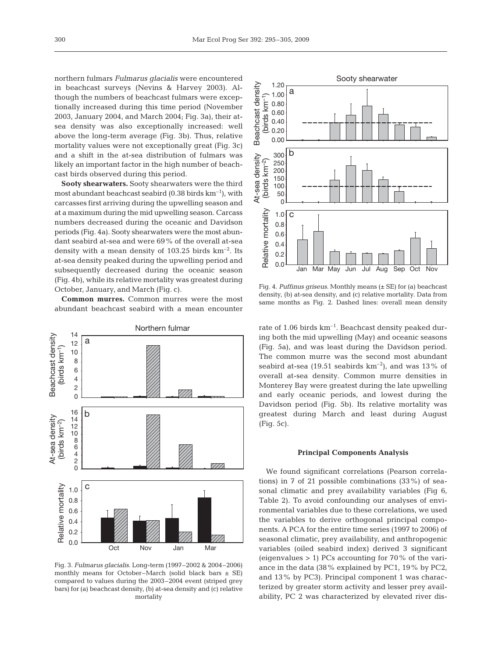northern fulmars *Fulmarus glacialis* were encountered in beachcast surveys (Nevins & Harvey 2003). Although the numbers of beachcast fulmars were exceptionally increased during this time period (November 2003, January 2004, and March 2004; Fig. 3a), their atsea density was also exceptionally increased: well above the long-term average (Fig. 3b). Thus, relative mortality values were not exceptionally great (Fig. 3c) and a shift in the at-sea distribution of fulmars was likely an important factor in the high number of beachcast birds observed during this period.

**Sooty shearwaters.** Sooty shearwaters were the third most abundant beachcast seabird  $(0.38 \text{ birds km}^{-1})$ , with carcasses first arriving during the upwelling season and at a maximum during the mid upwelling season. Carcass numbers decreased during the oceanic and Davidson periods (Fig. 4a). Sooty shearwaters were the most abundant seabird at-sea and were 69% of the overall at-sea density with a mean density of  $103.25$  birds  $km^{-2}$ . Its at-sea density peaked during the upwelling period and subsequently decreased during the oceanic season (Fig. 4b), while its relative mortality was greatest during October, January, and March (Fig. c).

**Common murres.** Common murres were the most abundant beachcast seabird with a mean encounter



Fig. 3. *Fulmarus glacialis*. Long-term (1997–2002 & 2004–2006) monthly means for October–March (solid black bars  $\pm$  SE) compared to values during the 2003–2004 event (striped grey bars) for (a) beachcast density, (b) at-sea density and (c) relative mortality



Fig. 4. *Puffinus griseus*. Monthly means (± SE) for (a) beachcast density, (b) at-sea density, and (c) relative mortality. Data from same months as Fig. 2. Dashed lines: overall mean density

rate of 1.06 birds  $km^{-1}$ . Beachcast density peaked during both the mid upwelling (May) and oceanic seasons (Fig. 5a), and was least during the Davidson period. The common murre was the second most abundant seabird at-sea (19.51 seabirds  $km^{-2}$ ), and was 13% of overall at-sea density. Common murre densities in Monterey Bay were greatest during the late upwelling and early oceanic periods, and lowest during the Davidson period (Fig. 5b). Its relative mortality was greatest during March and least during August (Fig. 5c).

## **Principal Components Analysis**

We found significant correlations (Pearson correlations) in 7 of 21 possible combinations (33%) of seasonal climatic and prey availability variables (Fig 6, Table 2). To avoid confounding our analyses of environmental variables due to these correlations, we used the variables to derive orthogonal principal components. A PCA for the entire time series (1997 to 2006) of seasonal climatic, prey availability, and anthropogenic variables (oiled seabird index) derived 3 significant (eigenvalues  $> 1$ ) PCs accounting for 70% of the variance in the data (38% explained by PC1, 19% by PC2, and 13% by PC3). Principal component 1 was characterized by greater storm activity and lesser prey availability, PC 2 was characterized by elevated river dis-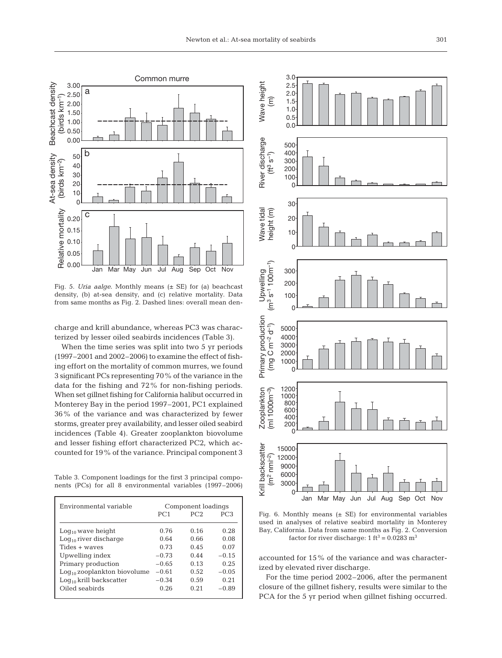

Fig. 5. *Uria aalge*. Monthly means (± SE) for (a) beachcast density, (b) at-sea density, and (c) relative mortality. Data from same months as Fig. 2. Dashed lines: overall mean den-

charge and krill abundance, whereas PC3 was characterized by lesser oiled seabirds incidences (Table 3).

When the time series was split into two 5 yr periods (1997–2001 and 2002–2006) to examine the effect of fishing effort on the mortality of common murres, we found 3 significant PCs representing 70% of the variance in the data for the fishing and 72% for non-fishing periods. When set gillnet fishing for California halibut occurred in Monterey Bay in the period 1997–2001, PC1 explained 36% of the variance and was characterized by fewer storms, greater prey availability, and lesser oiled seabird incidences (Table 4). Greater zooplankton biovolume and lesser fishing effort characterized PC2, which accounted for 19% of the variance. Principal component 3

Table 3. Component loadings for the first 3 principal components (PCs) for all 8 environmental variables (1997–2006)

| Environmental variable           | Component loadings |                 |                 |  |
|----------------------------------|--------------------|-----------------|-----------------|--|
|                                  | PC <sub>1</sub>    | PC <sub>2</sub> | PC <sub>3</sub> |  |
| $Log_{10}$ wave height           | 0.76               | 0.16            | 0.28            |  |
| $Log_{10}$ river discharge       | 0.64               | 0.66            | 0.08            |  |
| Tides + waves                    | 0.73               | 0.45            | 0.07            |  |
| Upwelling index                  | $-0.73$            | 0.44            | $-0.15$         |  |
| Primary production               | $-0.65$            | 0.13            | 0.25            |  |
| $Log_{10}$ zooplankton biovolume | $-0.61$            | 0.52            | $-0.05$         |  |
| $Log_{10}$ krill backscatter     | $-0.34$            | 0.59            | 0.21            |  |
| Oiled seabirds                   | 0.26               | 0.21            | $-0.89$         |  |
|                                  |                    |                 |                 |  |



Fig. 6. Monthly means  $(\pm$  SE) for environmental variables used in analyses of relative seabird mortality in Monterey Bay, California. Data from same months as Fig. 2. Conversion factor for river discharge:  $1 \text{ ft}^3 = 0.0283 \text{ m}^3$ 

accounted for 15% of the variance and was characterized by elevated river discharge.

For the time period 2002–2006, after the permanent closure of the gillnet fishery, results were similar to the PCA for the 5 yr period when gillnet fishing occurred.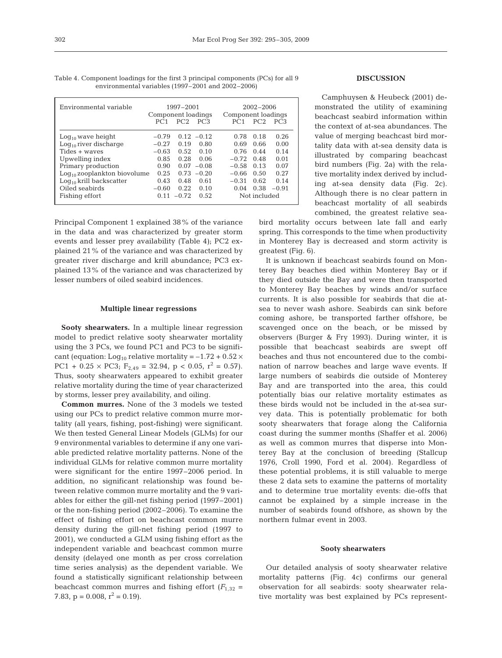| Environmental variable           | Component loadings<br>PC1 | 1997-2001 | $PC2$ $PC3$   | Component loadings<br>PC <sub>1</sub> | $2002 - 2006$<br>PC2 | PC.3    |
|----------------------------------|---------------------------|-----------|---------------|---------------------------------------|----------------------|---------|
| $Log_{10}$ wave height           | $-0.79$                   |           | $0.12 - 0.12$ | 0.78                                  | 0.18                 | 0.26    |
| $Log_{10}$ river discharge       | $-0.27$                   | 0.19      | 0.80          | 0.69                                  | 0.66                 | 0.00    |
| Tides + waves                    | $-0.63$                   | 0.52      | 0.10          | 0.76                                  | 0.44                 | 0.14    |
| Upwelling index                  | 0.85                      | 0.28      | 0.06          | $-0.72$                               | 0.48                 | 0.01    |
| Primary production               | 0.90                      |           | $0.07 - 0.08$ | $-0.58$                               | 0.13                 | 0.07    |
| $Log_{10}$ zooplankton biovolume | 0.25                      | 0.73      | $-0.20$       | $-0.66$                               | 0.50                 | 0.27    |
| $Log_{10}$ krill backscatter     | 0.43                      | 0.48      | 0.61          | $-0.31$                               | 0.62                 | 0.14    |
| Oiled seabirds                   | $-0.60$                   | 0.22      | 0.10          | 0.04                                  | 0.38                 | $-0.91$ |
| Fishing effort                   | 0.11                      | $-0.72$   | 0.52          | Not included                          |                      |         |

Table 4. Component loadings for the first 3 principal components (PCs) for all 9 environmental variables (1997–2001 and 2002–2006)

Principal Component 1 explained 38% of the variance in the data and was characterized by greater storm events and lesser prey availability (Table 4); PC2 explained 21% of the variance and was characterized by greater river discharge and krill abundance; PC3 explained 13% of the variance and was characterized by lesser numbers of oiled seabird incidences.

#### **Multiple linear regressions**

**Sooty shearwaters.** In a multiple linear regression model to predict relative sooty shearwater mortality using the 3 PCs, we found PC1 and PC3 to be significant (equation: Log<sub>10</sub> relative mortality =  $-1.72 + 0.52 \times$ PC1 + 0.25  $\times$  PC3; F<sub>2.49</sub> = 32.94, p < 0.05, r<sup>2</sup> = 0.57). Thus, sooty shearwaters appeared to exhibit greater relative mortality during the time of year characterized by storms, lesser prey availability, and oiling.

**Common murres.** None of the 3 models we tested using our PCs to predict relative common murre mortality (all years, fishing, post-fishing) were significant. We then tested General Linear Models (GLMs) for our 9 environmental variables to determine if any one variable predicted relative mortality patterns. None of the individual GLMs for relative common murre mortality were significant for the entire 1997–2006 period. In addition, no significant relationship was found between relative common murre mortality and the 9 variables for either the gill-net fishing period (1997–2001) or the non-fishing period (2002–2006). To examine the effect of fishing effort on beachcast common murre density during the gill-net fishing period (1997 to 2001), we conducted a GLM using fishing effort as the independent variable and beachcast common murre density (delayed one month as per cross correlation time series analysis) as the dependent variable. We found a statistically significant relationship between beachcast common murres and fishing effort  $(F_{1,32} =$ 7.83,  $p = 0.008$ ,  $r^2 = 0.19$ .

## **DISCUSSION**

Camphuysen & Heubeck (2001) demonstrated the utility of examining beachcast seabird information within the context of at-sea abundances. The value of merging beachcast bird mortality data with at-sea density data is illustrated by comparing beachcast bird numbers (Fig. 2a) with the relative mortality index derived by including at-sea density data (Fig. 2c). Although there is no clear pattern in beachcast mortality of all seabirds combined, the greatest relative sea-

bird mortality occurs between late fall and early spring. This corresponds to the time when productivity in Monterey Bay is decreased and storm activity is greatest (Fig. 6).

It is unknown if beachcast seabirds found on Monterey Bay beaches died within Monterey Bay or if they died outside the Bay and were then transported to Monterey Bay beaches by winds and/or surface currents. It is also possible for seabirds that die atsea to never wash ashore. Seabirds can sink before coming ashore, be transported farther offshore, be scavenged once on the beach, or be missed by observers (Burger & Fry 1993). During winter, it is possible that beachcast seabirds are swept off beaches and thus not encountered due to the combination of narrow beaches and large wave events. If large numbers of seabirds die outside of Monterey Bay and are transported into the area, this could potentially bias our relative mortality estimates as these birds would not be included in the at-sea survey data. This is potentially problematic for both sooty shearwaters that forage along the California coast during the summer months (Shaffer et al. 2006) as well as common murres that disperse into Monterey Bay at the conclusion of breeding (Stallcup 1976, Croll 1990, Ford et al. 2004). Regardless of these potential problems, it is still valuable to merge these 2 data sets to examine the patterns of mortality and to determine true mortality events: die-offs that cannot be explained by a simple increase in the number of seabirds found offshore, as shown by the northern fulmar event in 2003.

#### **Sooty shearwaters**

Our detailed analysis of sooty shearwater relative mortality patterns (Fig. 4c) confirms our general observation for all seabirds: sooty shearwater relative mortality was best explained by PCs represent-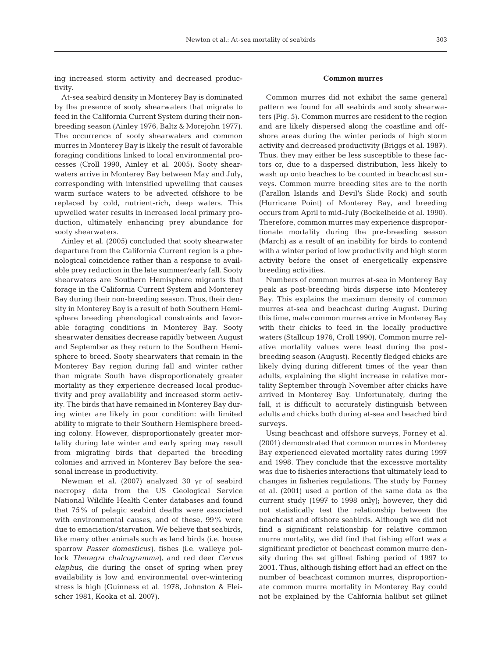ing increased storm activity and decreased productivity.

At-sea seabird density in Monterey Bay is dominated by the presence of sooty shearwaters that migrate to feed in the California Current System during their nonbreeding season (Ainley 1976, Baltz & Morejohn 1977). The occurrence of sooty shearwaters and common murres in Monterey Bay is likely the result of favorable foraging conditions linked to local environmental processes (Croll 1990, Ainley et al. 2005). Sooty shearwaters arrive in Monterey Bay between May and July, corresponding with intensified upwelling that causes warm surface waters to be advected offshore to be replaced by cold, nutrient-rich, deep waters. This upwelled water results in increased local primary production, ultimately enhancing prey abundance for sooty shearwaters.

Ainley et al. (2005) concluded that sooty shearwater departure from the California Current region is a phenological coincidence rather than a response to available prey reduction in the late summer/early fall. Sooty shearwaters are Southern Hemisphere migrants that forage in the California Current System and Monterey Bay during their non-breeding season. Thus, their density in Monterey Bay is a result of both Southern Hemisphere breeding phenological constraints and favorable foraging conditions in Monterey Bay. Sooty shearwater densities decrease rapidly between August and September as they return to the Southern Hemisphere to breed. Sooty shearwaters that remain in the Monterey Bay region during fall and winter rather than migrate South have disproportionately greater mortality as they experience decreased local productivity and prey availability and increased storm activity. The birds that have remained in Monterey Bay during winter are likely in poor condition: with limited ability to migrate to their Southern Hemisphere breeding colony. However, disproportionately greater mortality during late winter and early spring may result from migrating birds that departed the breeding colonies and arrived in Monterey Bay before the seasonal increase in productivity.

Newman et al. (2007) analyzed 30 yr of seabird necropsy data from the US Geological Service National Wildlife Health Center databases and found that 75% of pelagic seabird deaths were associated with environmental causes, and of these, 99% were due to emaciation/starvation. We believe that seabirds, like many other animals such as land birds (i.e. house sparrow *Passer domesticus)*, fishes (i.e. walleye pollock *Theragra chalcogramma)*, and red deer *Cervus elaphus*, die during the onset of spring when prey availability is low and environmental over-wintering stress is high (Guinness et al. 1978, Johnston & Fleischer 1981, Kooka et al. 2007).

## **Common murres**

Common murres did not exhibit the same general pattern we found for all seabirds and sooty shearwaters (Fig. 5). Common murres are resident to the region and are likely dispersed along the coastline and offshore areas during the winter periods of high storm activity and decreased productivity (Briggs et al. 1987). Thus, they may either be less susceptible to these factors or, due to a dispersed distribution, less likely to wash up onto beaches to be counted in beachcast surveys. Common murre breeding sites are to the north (Farallon Islands and Devil's Slide Rock) and south (Hurricane Point) of Monterey Bay, and breeding occurs from April to mid-July (Bockelheide et al. 1990). Therefore, common murres may experience disproportionate mortality during the pre-breeding season (March) as a result of an inability for birds to contend with a winter period of low productivity and high storm activity before the onset of energetically expensive breeding activities.

Numbers of common murres at-sea in Monterey Bay peak as post-breeding birds disperse into Monterey Bay. This explains the maximum density of common murres at-sea and beachcast during August. During this time, male common murres arrive in Monterey Bay with their chicks to feed in the locally productive waters (Stallcup 1976, Croll 1990). Common murre relative mortality values were least during the postbreeding season (August). Recently fledged chicks are likely dying during different times of the year than adults, explaining the slight increase in relative mortality September through November after chicks have arrived in Monterey Bay. Unfortunately, during the fall, it is difficult to accurately distinguish between adults and chicks both during at-sea and beached bird surveys.

Using beachcast and offshore surveys, Forney et al. (2001) demonstrated that common murres in Monterey Bay experienced elevated mortality rates during 1997 and 1998. They conclude that the excessive mortality was due to fisheries interactions that ultimately lead to changes in fisheries regulations. The study by Forney et al. (2001) used a portion of the same data as the current study (1997 to 1998 only); however, they did not statistically test the relationship between the beachcast and offshore seabirds. Although we did not find a significant relationship for relative common murre mortality, we did find that fishing effort was a significant predictor of beachcast common murre density during the set gillnet fishing period of 1997 to 2001. Thus, although fishing effort had an effect on the number of beachcast common murres, disproportionate common murre mortality in Monterey Bay could not be explained by the California halibut set gillnet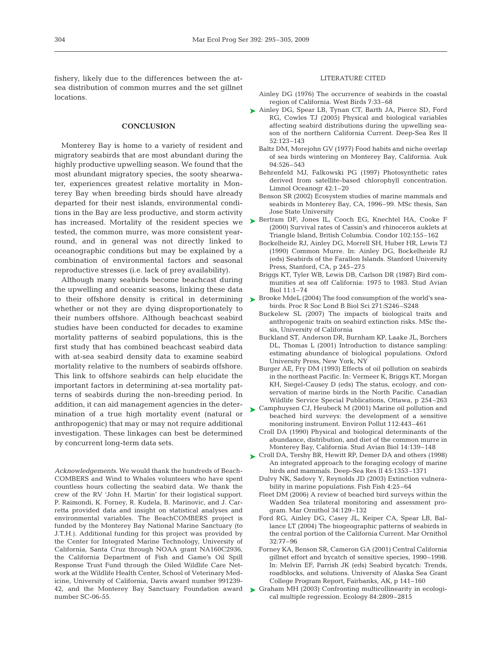fishery, likely due to the differences between the atsea distribution of common murres and the set gillnet locations.

## **CONCLUSION**

Monterey Bay is home to a variety of resident and migratory seabirds that are most abundant during the highly productive upwelling season. We found that the most abundant migratory species, the sooty shearwater, experiences greatest relative mortality in Monterey Bay when breeding birds should have already departed for their nest islands, environmental conditions in the Bay are less productive, and storm activity tested, the common murre, was more consistent yearround, and in general was not directly linked to oceanographic conditions but may be explained by a combination of environmental factors and seasonal reproductive stresses (i.e. lack of prey availability).

Although many seabirds become beachcast during the upwelling and oceanic seasons, linking these data to their offshore density is critical in determining whether or not they are dying disproportionately to their numbers offshore. Although beachcast seabird studies have been conducted for decades to examine mortality patterns of seabird populations, this is the first study that has combined beachcast seabird data with at-sea seabird density data to examine seabird mortality relative to the numbers of seabirds offshore. This link to offshore seabirds can help elucidate the important factors in determining at-sea mortality patterns of seabirds during the non-breeding period. In addition, it can aid management agencies in the determination of a true high mortality event (natural or anthropogenic) that may or may not require additional investigation. These linkages can best be determined by concurrent long-term data sets.

*Acknowledgements.* We would thank the hundreds of Beach-COMBERS and Wind to Whales volunteers who have spent countless hours collecting the seabird data. We thank the crew of the RV 'John H. Martin' for their logistical support. P. Raimondi, K. Forney, R. Kudela, B. Marinovic, and J. Carretta provided data and insight on statistical analyses and environmental variables. The BeachCOMBERS project is funded by the Monterey Bay National Marine Sanctuary (to J.T.H.). Additional funding for this project was provided by the Center for Integrated Marine Technology, University of California, Santa Cruz through NOAA grant NA160C2936, the California Department of Fish and Game's Oil Spill Response Trust Fund through the Oiled Wildlife Care Network at the Wildlife Health Center, School of Veterinary Medicine, University of California, Davis award number 991239- 42, and the Monterey Bay Sanctuary Foundation award number SC-06-55.

## LITERATURE CITED

- Ainley DG (1976) The occurrence of seabirds in the coastal region of California. West Birds 7:33–68
- ► Ainley DG, Spear LB, Tynan CT, Barth JA, Pierce SD, Ford RG, Cowles TJ (2005) Physical and biological variables affecting seabird distributions during the upwelling season of the northern California Current. Deep-Sea Res II 52:123–143
	- Baltz DM, Morejohn GV (1977) Food habits and niche overlap of sea birds wintering on Monterey Bay, California. Auk 94:526–543
	- Behrenfeld MJ, Falkowski PG (1997) Photosynthetic rates derived from satellite-based chlorophyll concentration. Limnol Oceanogr 42:1–20
	- Benson SR (2002) Ecosystem studies of marine mammals and seabirds in Monterey Bay, CA, 1996–99. MSc thesis, San Jose State University
- has increased. Mortality of the resident species we Bertram DF, Jones IL, Cooch EG, Knechtel HA, Cooke F (2000) Survival rates of Cassin's and rhinoceros auklets at Triangle Island, British Columbia. Condor 102:155–162
	- Bockelheide RJ, Ainley DG, Morrell SH, Huber HR, Lewis TJ (1990) Common Murre. In: Ainley DG, Bockelheide RJ (eds) Seabirds of the Farallon Islands. Stanford University Press, Stanford, CA, p 245–275
	- Briggs KT, Tyler WB, Lewis DB, Carlson DR (1987) Bird communities at sea off California: 1975 to 1983. Stud Avian Biol 11:1–74
	- ► Brooke MdeL (2004) The food consumption of the world's seabirds. Proc R Soc Lond B Biol Sci 271:S246–S248
		- Buckelew SL (2007) The impacts of biological traits and anthropogenic traits on seabird extinction risks. MSc thesis, University of California
		- Buckland ST, Anderson DR, Burnham KP, Laake JL, Borchers DL, Thomas L (2001) Introduction to distance sampling: estimating abundance of biological populations. Oxford University Press, New York, NY
		- Burger AE, Fry DM (1993) Effects of oil pollution on seabirds in the northeast Pacific. In: Vermeer K, Briggs KT, Morgan KH, Siegel-Causey D (eds) The status, ecology, and conservation of marine birds in the North Pacific. Canadian Wildlife Service Special Publications, Ottawa, p 254–263
	- ► Camphuysen CJ, Heubeck M (2001) Marine oil pollution and beached bird surveys: the development of a sensitive monitoring instrument. Environ Pollut 112:443–461
		- Croll DA (1990) Physical and biological determinants of the abundance, distribution, and diet of the common murre in Monterey Bay, California. Stud Avian Biol 14:139–148
	- ► Croll DA, Tershy BR, Hewitt RP, Demer DA and others (1998) An integrated approach to the foraging ecology of marine birds and mammals. Deep-Sea Res II 45:1353–1371
		- Dulvy NK, Sadovy Y, Reynolds JD (2003) Extinction vulnerability in marine populations. Fish Fish 4:25–64
		- Fleet DM (2006) A review of beached bird surveys within the Wadden Sea trilateral monitoring and assessment program. Mar Ornithol 34:129–132
		- Ford RG, Ainley DG, Casey JL, Keiper CA, Spear LB, Ballance LT (2004) The biogeographic patterns of seabirds in the central portion of the California Current. Mar Ornithol 32:77–96
		- Forney KA, Benson SR, Cameron GA (2001) Central California gillnet effort and bycatch of sensitive species, 1990–1998. In: Melvin EF, Parrish JK (eds) Seabird bycatch: Trends, roadblocks, and solutions. University of Alaska Sea Grant College Program Report, Fairbanks, AK, p 141–160
	- ▶ Graham MH (2003) Confronting multicollinearity in ecological multiple regression. Ecology 84:2809–2815